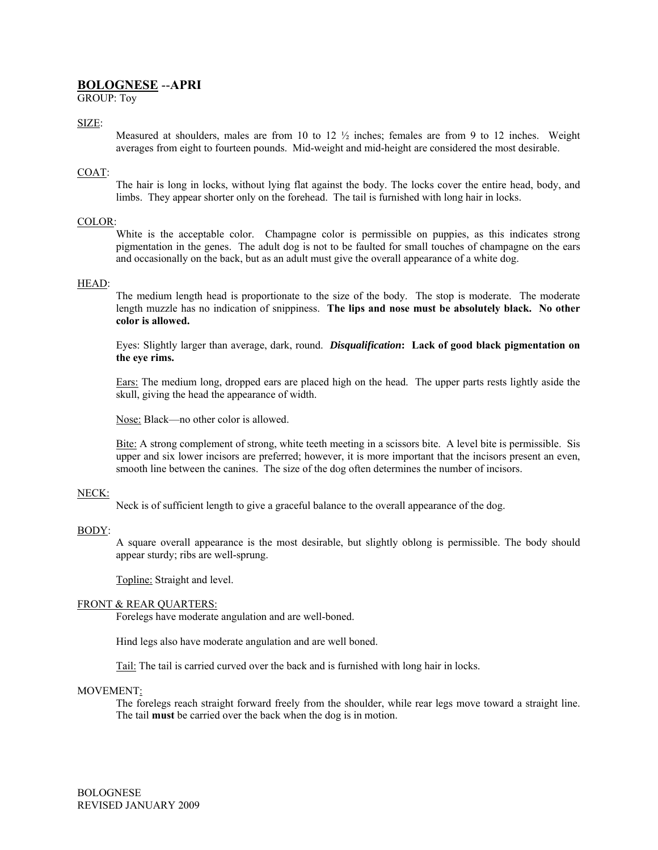# **BOLOGNESE** --**APRI**

GROUP: Toy

## SIZE:

Measured at shoulders, males are from 10 to 12  $\frac{1}{2}$  inches; females are from 9 to 12 inches. Weight averages from eight to fourteen pounds. Mid-weight and mid-height are considered the most desirable.

#### COAT:

The hair is long in locks, without lying flat against the body. The locks cover the entire head, body, and limbs. They appear shorter only on the forehead. The tail is furnished with long hair in locks.

#### COLOR:

White is the acceptable color. Champagne color is permissible on puppies, as this indicates strong pigmentation in the genes. The adult dog is not to be faulted for small touches of champagne on the ears and occasionally on the back, but as an adult must give the overall appearance of a white dog.

#### HEAD:

The medium length head is proportionate to the size of the body. The stop is moderate. The moderate length muzzle has no indication of snippiness. **The lips and nose must be absolutely black. No other color is allowed.** 

Eyes: Slightly larger than average, dark, round. *Disqualification***: Lack of good black pigmentation on the eye rims.**

Ears: The medium long, dropped ears are placed high on the head. The upper parts rests lightly aside the skull, giving the head the appearance of width.

Nose: Black—no other color is allowed.

Bite: A strong complement of strong, white teeth meeting in a scissors bite. A level bite is permissible. Sis upper and six lower incisors are preferred; however, it is more important that the incisors present an even, smooth line between the canines. The size of the dog often determines the number of incisors.

#### NECK:

Neck is of sufficient length to give a graceful balance to the overall appearance of the dog.

#### BODY:

A square overall appearance is the most desirable, but slightly oblong is permissible. The body should appear sturdy; ribs are well-sprung.

Topline: Straight and level.

#### FRONT & REAR QUARTERS:

Forelegs have moderate angulation and are well-boned.

Hind legs also have moderate angulation and are well boned.

Tail: The tail is carried curved over the back and is furnished with long hair in locks.

#### MOVEMENT:

The forelegs reach straight forward freely from the shoulder, while rear legs move toward a straight line. The tail **must** be carried over the back when the dog is in motion.